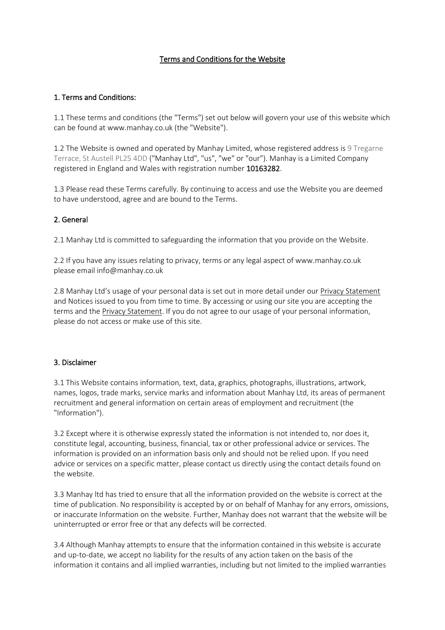## Terms and Conditions for the Website

### 1. Terms and Conditions:

1.1 These terms and conditions (the "Terms") set out below will govern your use of this website which can be found at www.manhay.co.uk (the "Website").

1.2 The Website is owned and operated by Manhay Limited, whose registered address is 9 Tregarne Terrace, St Austell PL25 4DD ("Manhay Ltd", "us", "we" or "our"). Manhay is a Limited Company registered in England and Wales with registration number 10163282.

1.3 Please read these Terms carefully. By continuing to access and use the Website you are deemed to have understood, agree and are bound to the Terms.

### 2. General

2.1 Manhay Ltd is committed to safeguarding the information that you provide on the Website.

2.2 If you have any issues relating to privacy, terms or any legal aspect of www.manhay.co.uk please email info@manhay.co.uk

2.8 Manhay Ltd's usage of your personal data is set out in more detail under ou[r Privacy Statement](https://bostonrose.co.uk/privacy-statement) and Notices issued to you from time to time. By accessing or using our site you are accepting the terms and th[e Privacy Statement.](https://bostonrose.co.uk/privacy-statement) If you do not agree to our usage of your personal information, please do not access or make use of this site.

### 3. Disclaimer

3.1 This Website contains information, text, data, graphics, photographs, illustrations, artwork, names, logos, trade marks, service marks and information about Manhay Ltd, its areas of permanent recruitment and general information on certain areas of employment and recruitment (the "Information").

3.2 Except where it is otherwise expressly stated the information is not intended to, nor does it, constitute legal, accounting, business, financial, tax or other professional advice or services. The information is provided on an information basis only and should not be relied upon. If you need advice or services on a specific matter, please contact us directly using the contact details found on the website.

3.3 Manhay ltd has tried to ensure that all the information provided on the website is correct at the time of publication. No responsibility is accepted by or on behalf of Manhay for any errors, omissions, or inaccurate Information on the website. Further, Manhay does not warrant that the website will be uninterrupted or error free or that any defects will be corrected.

3.4 Although Manhay attempts to ensure that the information contained in this website is accurate and up-to-date, we accept no liability for the results of any action taken on the basis of the information it contains and all implied warranties, including but not limited to the implied warranties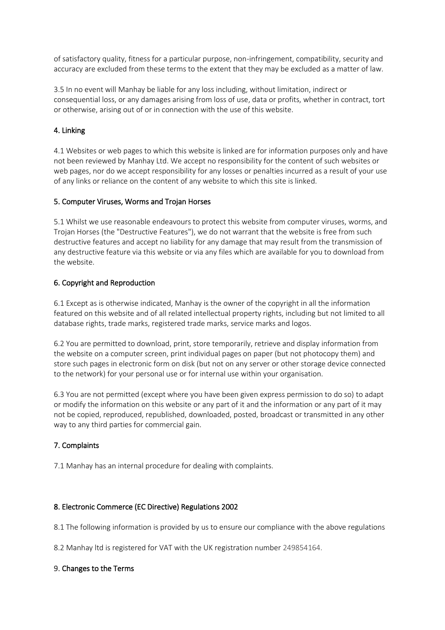of satisfactory quality, fitness for a particular purpose, non-infringement, compatibility, security and accuracy are excluded from these terms to the extent that they may be excluded as a matter of law.

3.5 In no event will Manhay be liable for any loss including, without limitation, indirect or consequential loss, or any damages arising from loss of use, data or profits, whether in contract, tort or otherwise, arising out of or in connection with the use of this website.

# 4. Linking

4.1 Websites or web pages to which this website is linked are for information purposes only and have not been reviewed by Manhay Ltd. We accept no responsibility for the content of such websites or web pages, nor do we accept responsibility for any losses or penalties incurred as a result of your use of any links or reliance on the content of any website to which this site is linked.

### 5. Computer Viruses, Worms and Trojan Horses

5.1 Whilst we use reasonable endeavours to protect this website from computer viruses, worms, and Trojan Horses (the "Destructive Features"), we do not warrant that the website is free from such destructive features and accept no liability for any damage that may result from the transmission of any destructive feature via this website or via any files which are available for you to download from the website.

### 6. Copyright and Reproduction

6.1 Except as is otherwise indicated, Manhay is the owner of the copyright in all the information featured on this website and of all related intellectual property rights, including but not limited to all database rights, trade marks, registered trade marks, service marks and logos.

6.2 You are permitted to download, print, store temporarily, retrieve and display information from the website on a computer screen, print individual pages on paper (but not photocopy them) and store such pages in electronic form on disk (but not on any server or other storage device connected to the network) for your personal use or for internal use within your organisation.

6.3 You are not permitted (except where you have been given express permission to do so) to adapt or modify the information on this website or any part of it and the information or any part of it may not be copied, reproduced, republished, downloaded, posted, broadcast or transmitted in any other way to any third parties for commercial gain.

### 7. Complaints

7.1 Manhay has an internal procedure for dealing with complaints.

### 8. Electronic Commerce (EC Directive) Regulations 2002

8.1 The following information is provided by us to ensure our compliance with the above regulations

8.2 Manhay ltd is registered for VAT with the UK registration number 249854164.

### 9. Changes to the Terms